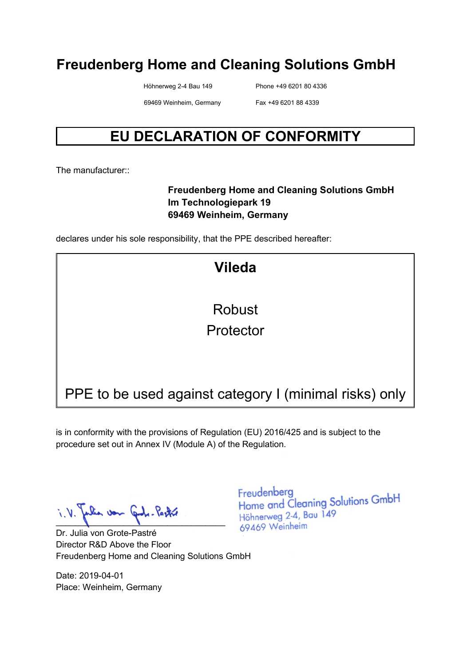Höhnerweg 2-4 Bau 149 Phone +49 6201 80 4336

69469 Weinheim, Germany Fax +49 6201 88 4339

### **EU DECLARATION OF CONFORMITY**

The manufacturer:

#### **Freudenberg Home and Cleaning Solutions GmbH Im Technologiepark 19 69469 Weinheim, Germany**

declares under his sole responsibility, that the PPE described hereafter:

| <b>Vileda</b>                                          |
|--------------------------------------------------------|
| <b>Robust</b>                                          |
| Protector                                              |
|                                                        |
| PPE to be used against category I (minimal risks) only |

is in conformity with the provisions of Regulation (EU) 2016/425 and is subject to the procedure set out in Annex IV (Module A) of the Regulation.

\_\_\_\_\_\_\_\_\_\_\_\_\_\_\_\_\_\_\_\_\_\_\_\_\_\_\_\_\_\_\_\_\_\_\_

Dr. Julia von Grote-Pastré Director R&D Above the Floor Freudenberg Home and Cleaning Solutions GmbH

Date: 2019-04-01 Place: Weinheim, Germany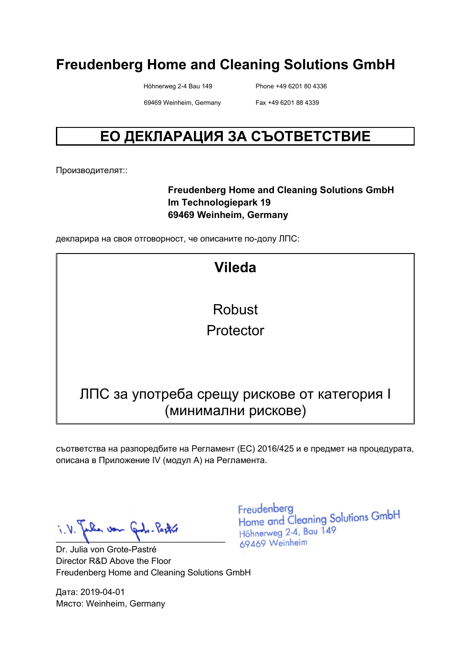Höhnerweg 2-4 Bau 149 Phone +49 6201 80 4336

69469 Weinheim, Germany Fax +49 6201 88 4339

### **ЕО ДЕКЛАРАЦИЯ ЗА СЪОТВЕТСТВИЕ**

Производителят::

#### **Freudenberg Home and Cleaning Solutions GmbH Im Technologiepark 19 69469 Weinheim, Germany**

декларира на своя отговорност, че описаните по-долу ЛПС:

| <b>Vileda</b>                                |
|----------------------------------------------|
|                                              |
| Robust                                       |
| Protector                                    |
|                                              |
|                                              |
|                                              |
| ЛПС за употреба срещу рискове от категория I |
| (минимални рискове)                          |

съответства на разпоредбите на Регламент (ЕС) 2016/425 и е предмет на процедурата, описана в Приложение IV (модул A) на Регламента.

 $i. V.$  Julia von Juli-Pastre

Dr. Julia von Grote-Pastré Director R&D Above the Floor Freudenberg Home and Cleaning Solutions GmbH

Дата: 2019-04-01 Място: Weinheim, Germany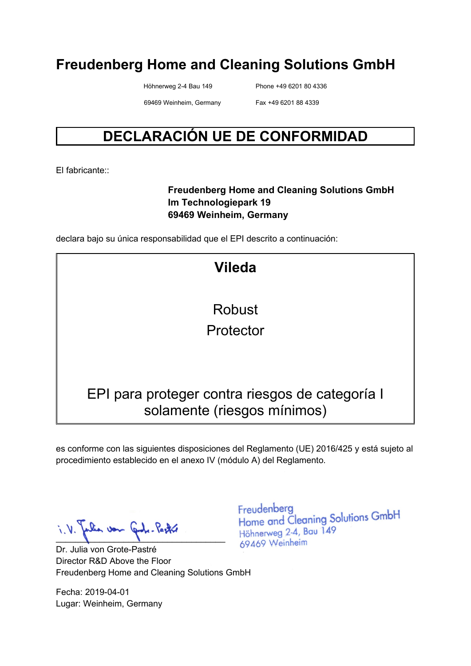Höhnerweg 2-4 Bau 149 Phone +49 6201 80 4336

69469 Weinheim, Germany Fax +49 6201 88 4339

### **DECLARACIÓN UE DE CONFORMIDAD**

El fabricante::

#### **Freudenberg Home and Cleaning Solutions GmbH Im Technologiepark 19 69469 Weinheim, Germany**

declara bajo su única responsabilidad que el EPI descrito a continuación:

| <b>Vileda</b>                                                                  |
|--------------------------------------------------------------------------------|
|                                                                                |
| Robust                                                                         |
| Protector                                                                      |
|                                                                                |
|                                                                                |
| EPI para proteger contra riesgos de categoría l<br>solamente (riesgos mínimos) |

es conforme con las siguientes disposiciones del Reglamento (UE) 2016/425 y está sujeto al procedimiento establecido en el anexo IV (módulo A) del Reglamento.

Julia von Juli-Pastri

Dr. Julia von Grote-Pastré Director R&D Above the Floor Freudenberg Home and Cleaning Solutions GmbH

Fecha: 2019-04-01 Lugar: Weinheim, Germany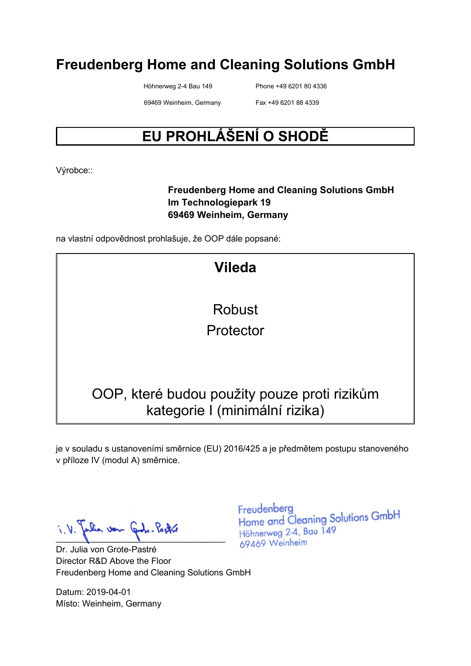Höhnerweg 2-4 Bau 149 Phone +49 6201 80 4336

69469 Weinheim, Germany Fax +49 6201 88 4339

### **EU PROHLÁŠENÍ O SHODĚ**

Výrobce::

#### **Freudenberg Home and Cleaning Solutions GmbH Im Technologiepark 19 69469 Weinheim, Germany**

na vlastní odpovědnost prohlašuje, že OOP dále popsané:

| <b>Vileda</b>                                |
|----------------------------------------------|
| Robust                                       |
|                                              |
| Protector                                    |
|                                              |
|                                              |
|                                              |
| OOP, které budou použity pouze proti rizikům |
| kategorie I (minimální rizika)               |

je v souladu s ustanoveními směrnice (EU) 2016/425 a je předmětem postupu stanoveného v příloze IV (modul A) směrnice.

Julia von Juli-Pastró

Dr. Julia von Grote-Pastré Director R&D Above the Floor Freudenberg Home and Cleaning Solutions GmbH

Datum: 2019-04-01 Místo: Weinheim, Germany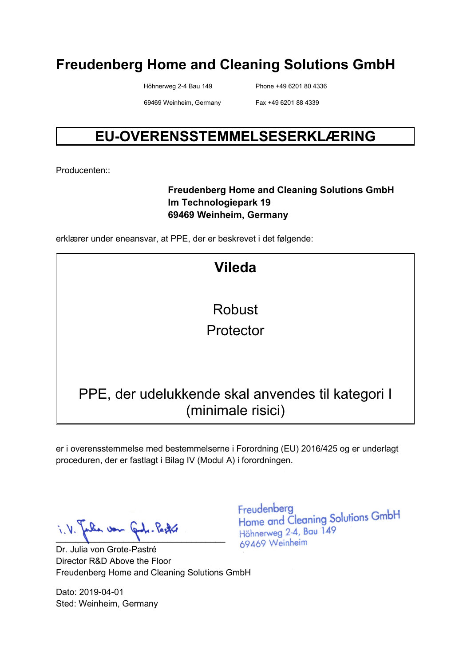Höhnerweg 2-4 Bau 149 Phone +49 6201 80 4336

69469 Weinheim, Germany Fax +49 6201 88 4339

### **EU-OVERENSSTEMMELSESERKLÆRING**

Producenten::

#### **Freudenberg Home and Cleaning Solutions GmbH Im Technologiepark 19 69469 Weinheim, Germany**

erklærer under eneansvar, at PPE, der er beskrevet i det følgende:

| <b>Vileda</b>                                     |
|---------------------------------------------------|
|                                                   |
| Robust                                            |
| Protector                                         |
|                                                   |
|                                                   |
| PPE, der udelukkende skal anvendes til kategori I |
| (minimale risici)                                 |

er i overensstemmelse med bestemmelserne i Forordning (EU) 2016/425 og er underlagt proceduren, der er fastlagt i Bilag IV (Modul A) i forordningen.

Julia von Gode-Pastre

Dr. Julia von Grote-Pastré Director R&D Above the Floor Freudenberg Home and Cleaning Solutions GmbH

Dato: 2019-04-01 Sted: Weinheim, Germany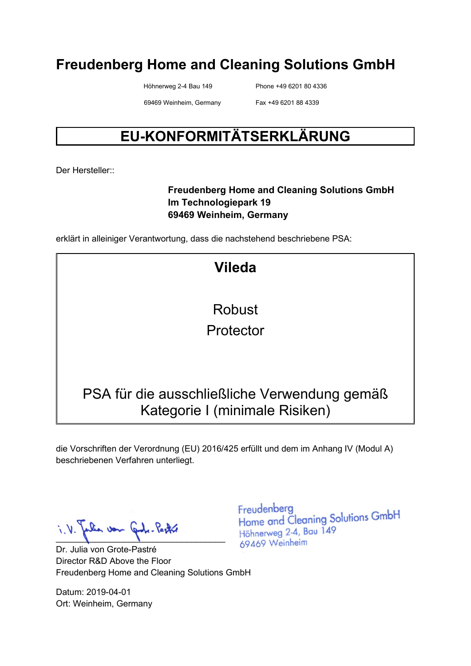Höhnerweg 2-4 Bau 149 Phone +49 6201 80 4336

69469 Weinheim, Germany Fax +49 6201 88 4339

### **EU-KONFORMITÄTSERKLÄRUNG**

Der Hersteller<sup>..</sup>

#### **Freudenberg Home and Cleaning Solutions GmbH Im Technologiepark 19 69469 Weinheim, Germany**

erklärt in alleiniger Verantwortung, dass die nachstehend beschriebene PSA:

**Vileda** Robust Protector PSA für die ausschließliche Verwendung gemäß Kategorie I (minimale Risiken)

die Vorschriften der Verordnung (EU) 2016/425 erfüllt und dem im Anhang IV (Modul A) beschriebenen Verfahren unterliegt.

Julia var Gode-Pastre

Dr. Julia von Grote-Pastré Director R&D Above the Floor Freudenberg Home and Cleaning Solutions GmbH

Datum: 2019-04-01 Ort: Weinheim, Germany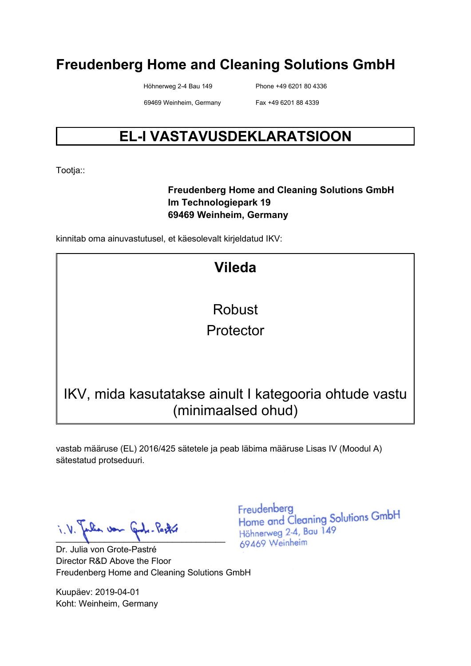Höhnerweg 2-4 Bau 149 Phone +49 6201 80 4336

69469 Weinheim, Germany Fax +49 6201 88 4339

### **EL-I VASTAVUSDEKLARATSIOON**

Tootja::

#### **Freudenberg Home and Cleaning Solutions GmbH Im Technologiepark 19 69469 Weinheim, Germany**

kinnitab oma ainuvastutusel, et käesolevalt kirjeldatud IKV:

**Vileda** Robust Protector IKV, mida kasutatakse ainult I kategooria ohtude vastu (minimaalsed ohud)

vastab määruse (EL) 2016/425 sätetele ja peab läbima määruse Lisas IV (Moodul A) sätestatud protseduuri.

Julia von Carl. Pastró

Dr. Julia von Grote-Pastré Director R&D Above the Floor Freudenberg Home and Cleaning Solutions GmbH

Kuupäev: 2019-04-01 Koht: Weinheim, Germany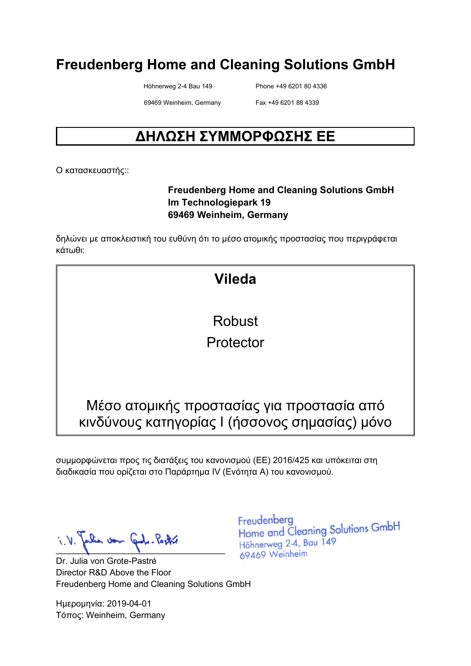Höhnerweg 2-4 Bau 149 Phone +49 6201 80 4336

69469 Weinheim, Germany Fax +49 6201 88 4339

### **ΔΗΛΩΣΗ ΣΥΜΜΟΡΦΩΣΗΣ ΕΕ**

Ο κατασκευαστής::

#### **Freudenberg Home and Cleaning Solutions GmbH Im Technologiepark 19 69469 Weinheim, Germany**

δηλώνει με αποκλειστική του ευθύνη ότι το μέσο ατομικής προστασίας που περιγράφεται κάτωθι:

## **Vileda** Robust Protector Μέσο ατομικής προστασίας για προστασία από κινδύνους κατηγορίας I (ήσσονος σημασίας) μόνο

συμμορφώνεται προς τις διατάξεις του κανονισμού (ΕΕ) 2016/425 και υπόκειται στη διαδικασία που ορίζεται στο Παράρτημα IV (Ενότητα Α) του κανονισμού.

falia von Gode-Pastre

Dr. Julia von Grote-Pastré Director R&D Above the Floor Freudenberg Home and Cleaning Solutions GmbH

Ημερομηνία: 2019-04-01 Τόπος: Weinheim, Germany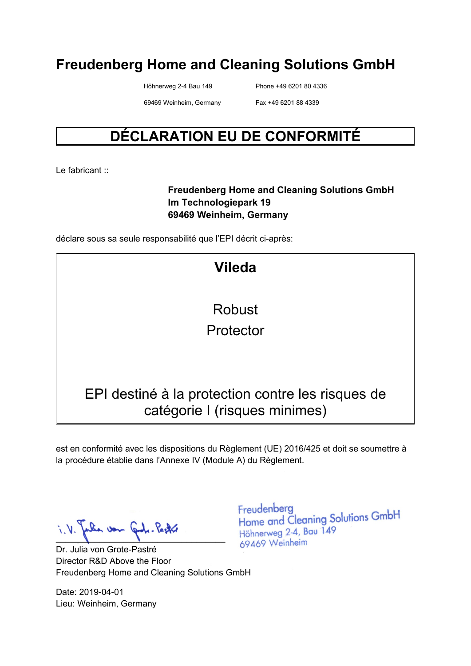Höhnerweg 2-4 Bau 149 Phone +49 6201 80 4336

69469 Weinheim, Germany Fax +49 6201 88 4339

### **DÉCLARATION EU DE CONFORMITÉ**

Le fabricant :

#### **Freudenberg Home and Cleaning Solutions GmbH Im Technologiepark 19 69469 Weinheim, Germany**

déclare sous sa seule responsabilité que l'EPI décrit ci-après:

est en conformité avec les dispositions du Règlement (UE) 2016/425 et doit se soumettre à la procédure établie dans l'Annexe IV (Module A) du Règlement.

Julia von Juli-Pastri

Dr. Julia von Grote-Pastré Director R&D Above the Floor Freudenberg Home and Cleaning Solutions GmbH

Date: 2019-04-01 Lieu: Weinheim, Germany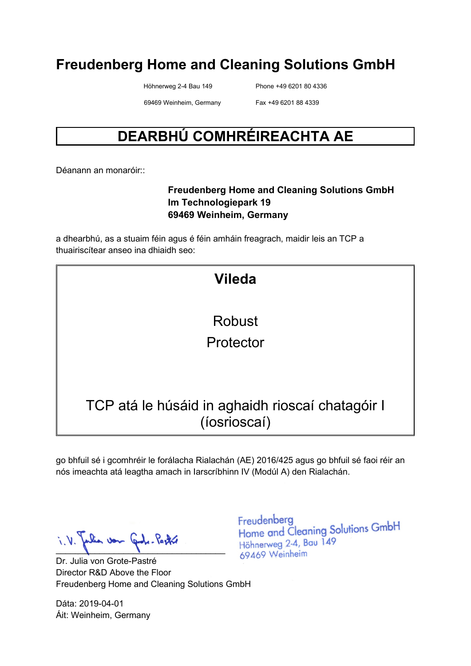Höhnerweg 2-4 Bau 149 Phone +49 6201 80 4336

69469 Weinheim, Germany Fax +49 6201 88 4339

### **DEARBHÚ COMHRÉIREACHTA AE**

Déanann an monaróir::

#### **Freudenberg Home and Cleaning Solutions GmbH Im Technologiepark 19 69469 Weinheim, Germany**

a dhearbhú, as a stuaim féin agus é féin amháin freagrach, maidir leis an TCP a thuairiscítear anseo ina dhiaidh seo:

| <b>Vileda</b>                                                    |
|------------------------------------------------------------------|
| <b>Robust</b>                                                    |
| Protector                                                        |
|                                                                  |
| TCP atá le húsáid in aghaidh rioscaí chatagóir I<br>(íosrioscaí) |
|                                                                  |

go bhfuil sé i gcomhréir le forálacha Rialachán (AE) 2016/425 agus go bhfuil sé faoi réir an nós imeachta atá leagtha amach in Iarscríbhinn IV (Modúl A) den Rialachán.

Julia von Gode-Pastre

Dr. Julia von Grote-Pastré Director R&D Above the Floor Freudenberg Home and Cleaning Solutions GmbH

Dáta: 2019-04-01 Áit: Weinheim, Germany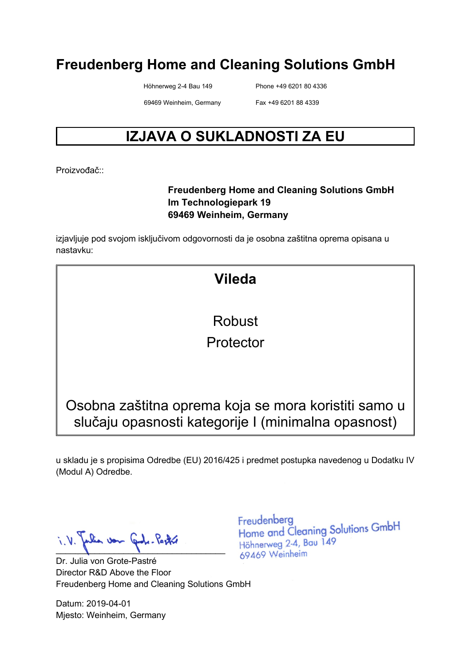Höhnerweg 2-4 Bau 149 Phone +49 6201 80 4336

69469 Weinheim, Germany Fax +49 6201 88 4339

### **IZJAVA O SUKLADNOSTI ZA EU**

Proizvođač<sup>::</sup>

#### **Freudenberg Home and Cleaning Solutions GmbH Im Technologiepark 19 69469 Weinheim, Germany**

izjavljuje pod svojom isključivom odgovornosti da je osobna zaštitna oprema opisana u nastavku:

### **Vileda**

Robust

Protector

Osobna zaštitna oprema koja se mora koristiti samo u slučaju opasnosti kategorije I (minimalna opasnost)

u skladu je s propisima Odredbe (EU) 2016/425 i predmet postupka navedenog u Dodatku IV (Modul A) Odredbe.

Julia von Gode-Pastre  $\blacksquare$ 

Dr. Julia von Grote-Pastré Director R&D Above the Floor Freudenberg Home and Cleaning Solutions GmbH

Datum: 2019-04-01 Mjesto: Weinheim, Germany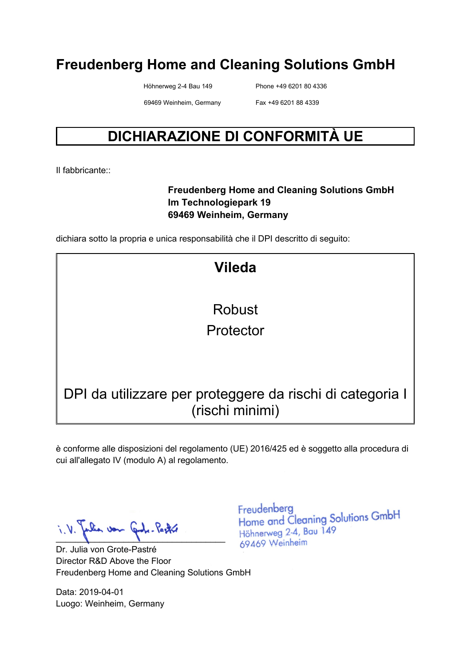Höhnerweg 2-4 Bau 149 Phone +49 6201 80 4336

69469 Weinheim, Germany Fax +49 6201 88 4339

### **DICHIARAZIONE DI CONFORMITÀ UE**

Il fabbricante::

#### **Freudenberg Home and Cleaning Solutions GmbH Im Technologiepark 19 69469 Weinheim, Germany**

dichiara sotto la propria e unica responsabilità che il DPI descritto di seguito:

| <b>Vileda</b>                                                                |
|------------------------------------------------------------------------------|
|                                                                              |
| Robust                                                                       |
| Protector                                                                    |
|                                                                              |
|                                                                              |
| DPI da utilizzare per proteggere da rischi di categoria I<br>(rischi minimi) |

è conforme alle disposizioni del regolamento (UE) 2016/425 ed è soggetto alla procedura di cui all'allegato IV (modulo A) al regolamento.

Julia von Juli-Pastri

Dr. Julia von Grote-Pastré Director R&D Above the Floor Freudenberg Home and Cleaning Solutions GmbH

Data: 2019-04-01 Luogo: Weinheim, Germany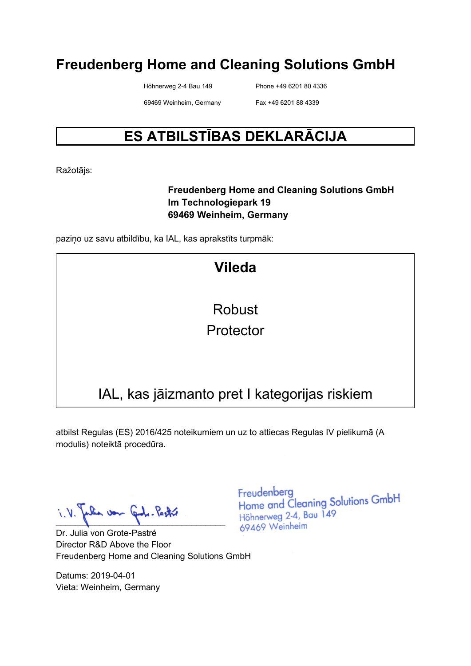Höhnerweg 2-4 Bau 149 Phone +49 6201 80 4336

69469 Weinheim, Germany Fax +49 6201 88 4339

### **ES ATBILSTĪBAS DEKLARĀCIJA**

Ražotājs:

#### **Freudenberg Home and Cleaning Solutions GmbH Im Technologiepark 19 69469 Weinheim, Germany**

paziņo uz savu atbildību, ka IAL, kas aprakstīts turpmāk:

| <b>Vileda</b>                                 |
|-----------------------------------------------|
| <b>Robust</b>                                 |
| Protector                                     |
|                                               |
| IAL, kas jāizmanto pret I kategorijas riskiem |

atbilst Regulas (ES) 2016/425 noteikumiem un uz to attiecas Regulas IV pielikumā (A modulis) noteiktā procedūra.

La von  $\blacksquare$ 

Dr. Julia von Grote-Pastré Director R&D Above the Floor Freudenberg Home and Cleaning Solutions GmbH

Datums: 2019-04-01 Vieta: Weinheim, Germany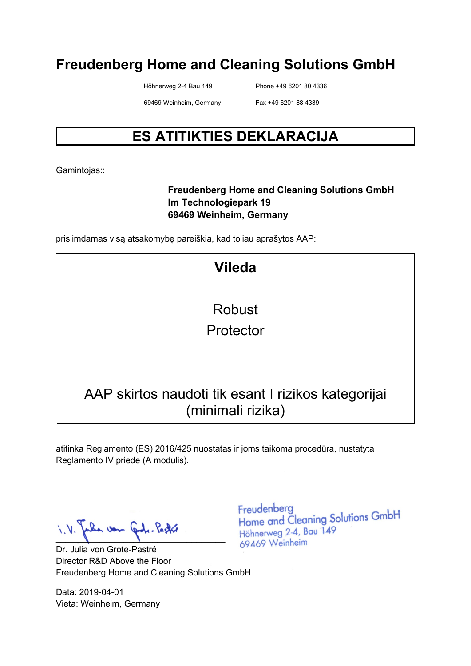Höhnerweg 2-4 Bau 149 Phone +49 6201 80 4336

69469 Weinheim, Germany Fax +49 6201 88 4339

### **ES ATITIKTIES DEKLARACIJA**

Gamintojas::

#### **Freudenberg Home and Cleaning Solutions GmbH Im Technologiepark 19 69469 Weinheim, Germany**

prisiimdamas visą atsakomybę pareiškia, kad toliau aprašytos AAP:

| <b>Vileda</b>                                                            |
|--------------------------------------------------------------------------|
| Robust                                                                   |
| Protector                                                                |
|                                                                          |
| AAP skirtos naudoti tik esant I rizikos kategorijai<br>(minimali rizika) |

atitinka Reglamento (ES) 2016/425 nuostatas ir joms taikoma procedūra, nustatyta Reglamento IV priede (A modulis).

Jalia von Juli-Pastri

Dr. Julia von Grote-Pastré Director R&D Above the Floor Freudenberg Home and Cleaning Solutions GmbH

Data: 2019-04-01 Vieta: Weinheim, Germany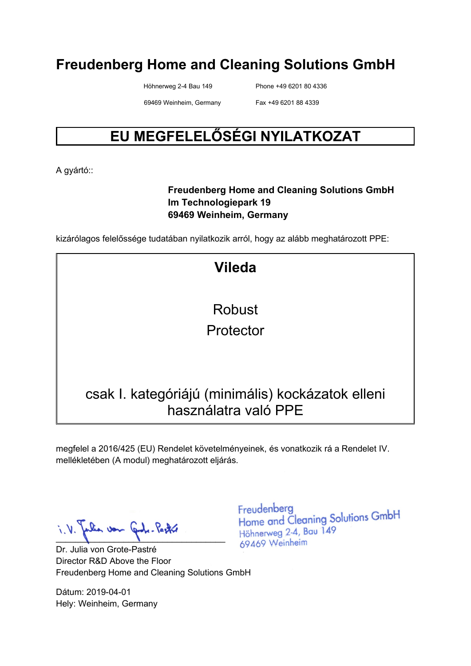Höhnerweg 2-4 Bau 149 Phone +49 6201 80 4336

69469 Weinheim, Germany Fax +49 6201 88 4339

### **EU MEGFELELŐSÉGI NYILATKOZAT**

A gyártó::

#### **Freudenberg Home and Cleaning Solutions GmbH Im Technologiepark 19 69469 Weinheim, Germany**

kizárólagos felelőssége tudatában nyilatkozik arról, hogy az alább meghatározott PPE:

| <b>Vileda</b>                                                             |
|---------------------------------------------------------------------------|
|                                                                           |
| Robust                                                                    |
| Protector                                                                 |
|                                                                           |
|                                                                           |
| csak I. kategóriájú (minimális) kockázatok elleni<br>használatra való PPE |

megfelel a 2016/425 (EU) Rendelet követelményeinek, és vonatkozik rá a Rendelet IV. mellékletében (A modul) meghatározott eljárás.

Julia von Gode-Pastre

Dr. Julia von Grote-Pastré Director R&D Above the Floor Freudenberg Home and Cleaning Solutions GmbH

Dátum: 2019-04-01 Hely: Weinheim, Germany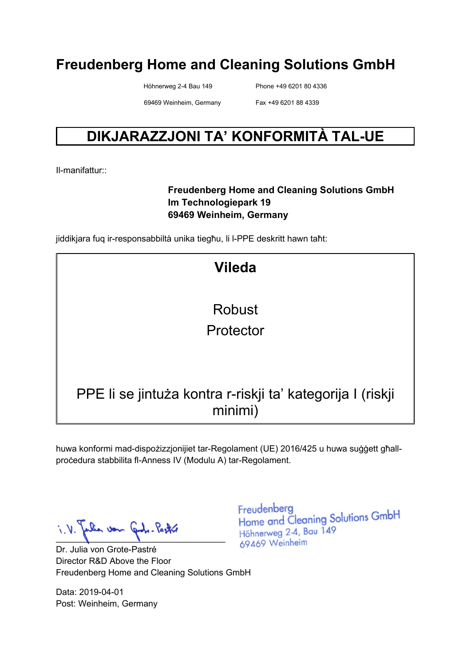Höhnerweg 2-4 Bau 149 Phone +49 6201 80 4336

69469 Weinheim, Germany Fax +49 6201 88 4339

### **DIKJARAZZJONI TA' KONFORMITÀ TAL-UE**

Il-manifattur::

#### **Freudenberg Home and Cleaning Solutions GmbH Im Technologiepark 19 69469 Weinheim, Germany**

jiddikjara fuq ir-responsabbiltà unika tiegħu, li l-PPE deskritt hawn taħt:

| <b>Vileda</b>                                                         |
|-----------------------------------------------------------------------|
| Robust                                                                |
|                                                                       |
| Protector                                                             |
|                                                                       |
|                                                                       |
| PPE li se jintuża kontra r-riskji ta' kategorija I (riskji<br>minimi) |

huwa konformi mad-dispożizzjonijiet tar-Regolament (UE) 2016/425 u huwa suġġett għallproċedura stabbilita fl-Anness IV (Modulu A) tar-Regolament.

Julia von Juli-Pastri

Dr. Julia von Grote-Pastré Director R&D Above the Floor Freudenberg Home and Cleaning Solutions GmbH

Data: 2019-04-01 Post: Weinheim, Germany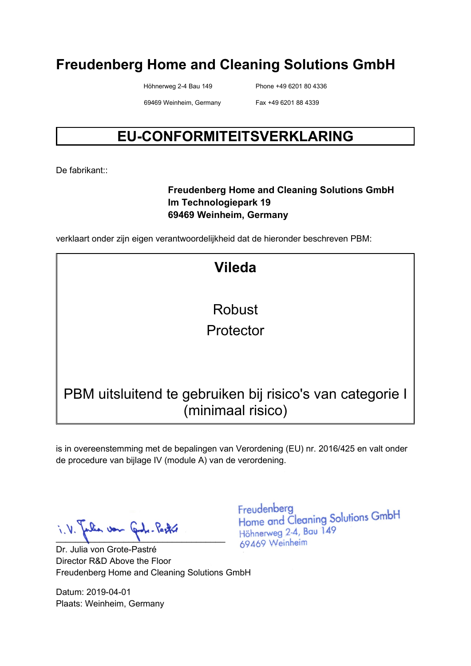Höhnerweg 2-4 Bau 149 Phone +49 6201 80 4336

69469 Weinheim, Germany Fax +49 6201 88 4339

### **EU-CONFORMITEITSVERKLARING**

De fabrikant<sup>..</sup>

#### **Freudenberg Home and Cleaning Solutions GmbH Im Technologiepark 19 69469 Weinheim, Germany**

verklaart onder zijn eigen verantwoordelijkheid dat de hieronder beschreven PBM:

**Vileda** Robust Protector PBM uitsluitend te gebruiken bij risico's van categorie I (minimaal risico)

is in overeenstemming met de bepalingen van Verordening (EU) nr. 2016/425 en valt onder de procedure van bijlage IV (module A) van de verordening.

Julia von Carl. Pastre

Dr. Julia von Grote-Pastré Director R&D Above the Floor Freudenberg Home and Cleaning Solutions GmbH

Datum: 2019-04-01 Plaats: Weinheim, Germany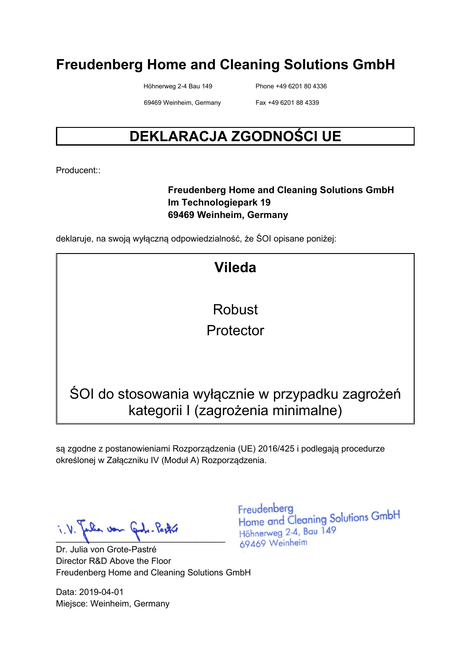Höhnerweg 2-4 Bau 149 Phone +49 6201 80 4336

69469 Weinheim, Germany Fax +49 6201 88 4339

### **DEKLARACJA ZGODNOŚCI UE**

Producent::

#### **Freudenberg Home and Cleaning Solutions GmbH Im Technologiepark 19 69469 Weinheim, Germany**

deklaruje, na swoją wyłączną odpowiedzialność, że ŚOI opisane poniżej:

| <b>Vileda</b>                                                                          |
|----------------------------------------------------------------------------------------|
|                                                                                        |
| Robust                                                                                 |
| Protector                                                                              |
|                                                                                        |
|                                                                                        |
| SOI do stosowania wyłącznie w przypadku zagrożeń<br>kategorii I (zagrożenia minimalne) |

są zgodne z postanowieniami Rozporządzenia (UE) 2016/425 i podlegają procedurze określonej w Załączniku IV (Moduł A) Rozporządzenia.

Julia von Gode-Pastre

Dr. Julia von Grote-Pastré Director R&D Above the Floor Freudenberg Home and Cleaning Solutions GmbH

Data: 2019-04-01 Miejsce: Weinheim, Germany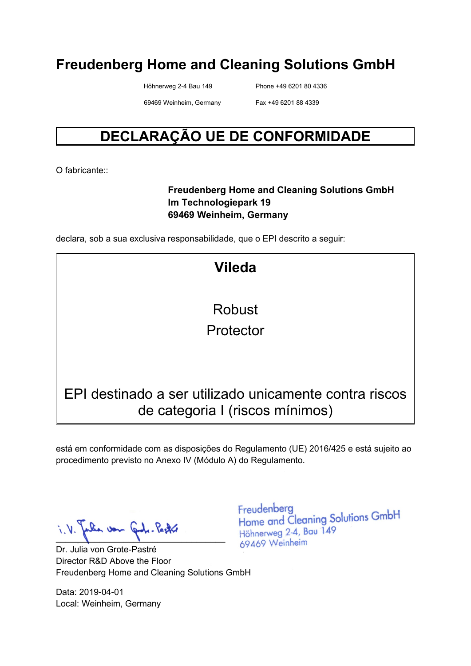Höhnerweg 2-4 Bau 149 Phone +49 6201 80 4336

69469 Weinheim, Germany Fax +49 6201 88 4339

### **DECLARAÇÃO UE DE CONFORMIDADE**

O fabricante:

#### **Freudenberg Home and Cleaning Solutions GmbH Im Technologiepark 19 69469 Weinheim, Germany**

declara, sob a sua exclusiva responsabilidade, que o EPI descrito a seguir:

| <b>Vileda</b>                                          |
|--------------------------------------------------------|
|                                                        |
| <b>Robust</b>                                          |
| Protector                                              |
|                                                        |
|                                                        |
|                                                        |
| EPI destinado a ser utilizado unicamente contra riscos |
| de categoria I (riscos mínimos)                        |

está em conformidade com as disposições do Regulamento (UE) 2016/425 e está sujeito ao procedimento previsto no Anexo IV (Módulo A) do Regulamento.

Julia von Juli-Pastri

Dr. Julia von Grote-Pastré Director R&D Above the Floor Freudenberg Home and Cleaning Solutions GmbH

Data: 2019-04-01 Local: Weinheim, Germany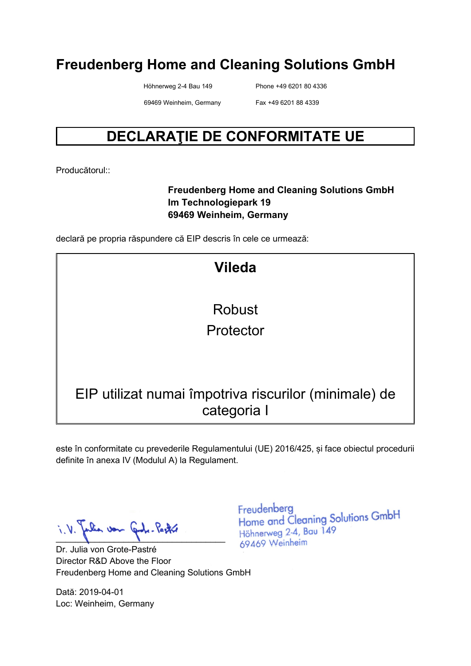Höhnerweg 2-4 Bau 149 Phone +49 6201 80 4336

69469 Weinheim, Germany Fax +49 6201 88 4339

### **DECLARAŢIE DE CONFORMITATE UE**

Producătorul::

#### **Freudenberg Home and Cleaning Solutions GmbH Im Technologiepark 19 69469 Weinheim, Germany**

declară pe propria răspundere că EIP descris în cele ce urmează:

| <b>Vileda</b>                                                        |
|----------------------------------------------------------------------|
|                                                                      |
| Robust                                                               |
| Protector                                                            |
|                                                                      |
|                                                                      |
| EIP utilizat numai împotriva riscurilor (minimale) de<br>categoria I |

este în conformitate cu prevederile Regulamentului (UE) 2016/425, și face obiectul procedurii definite în anexa IV (Modulul A) la Regulament.

Jale von Juli-Pastri

Dr. Julia von Grote-Pastré Director R&D Above the Floor Freudenberg Home and Cleaning Solutions GmbH

Dată: 2019-04-01 Loc: Weinheim, Germany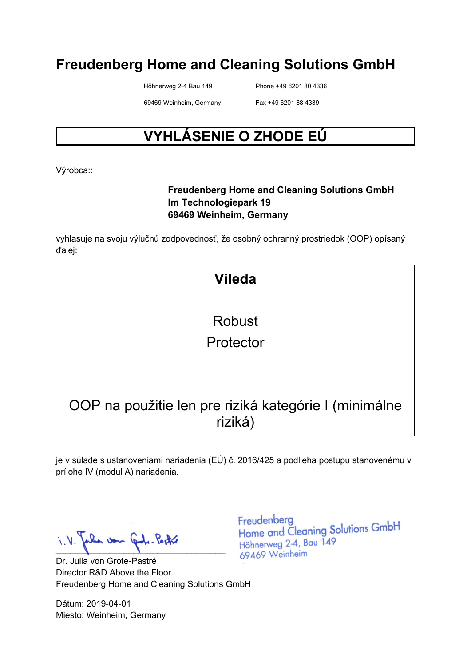Höhnerweg 2-4 Bau 149 Phone +49 6201 80 4336

69469 Weinheim, Germany Fax +49 6201 88 4339

### **VYHLÁSENIE O ZHODE EÚ**

Výrobca::

#### **Freudenberg Home and Cleaning Solutions GmbH Im Technologiepark 19 69469 Weinheim, Germany**

vyhlasuje na svoju výlučnú zodpovednosť, že osobný ochranný prostriedok (OOP) opísaný ďalej:

# **Vileda** Robust Protector OOP na použitie len pre riziká kategórie I (minimálne riziká)

je v súlade s ustanoveniami nariadenia (EÚ) č. 2016/425 a podlieha postupu stanovenému v prílohe IV (modul A) nariadenia.

Julia von Code-Pastre  $\blacksquare$ 

Dr. Julia von Grote-Pastré Director R&D Above the Floor Freudenberg Home and Cleaning Solutions GmbH

Dátum: 2019-04-01 Miesto: Weinheim, Germany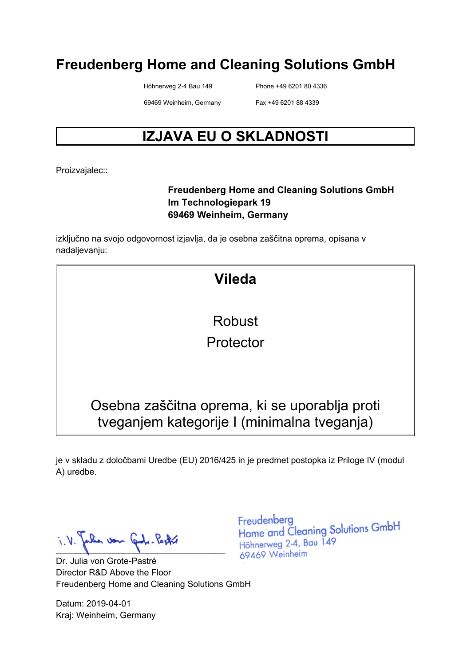Höhnerweg 2-4 Bau 149 Phone +49 6201 80 4336

69469 Weinheim, Germany Fax +49 6201 88 4339

### **IZJAVA EU O SKLADNOSTI**

Proizvajalec::

#### **Freudenberg Home and Cleaning Solutions GmbH Im Technologiepark 19 69469 Weinheim, Germany**

izključno na svojo odgovornost izjavlja, da je osebna zaščitna oprema, opisana v nadaljevanju:

| <b>Vileda</b>                                                                                |  |
|----------------------------------------------------------------------------------------------|--|
| <b>Robust</b>                                                                                |  |
| Protector                                                                                    |  |
|                                                                                              |  |
| Osebna zaščitna oprema, ki se uporablja proti<br>tveganjem kategorije I (minimalna tveganja) |  |

je v skladu z določbami Uredbe (EU) 2016/425 in je predmet postopka iz Priloge IV (modul A) uredbe.

Julia von Code-Pastre  $\blacksquare$ 

Dr. Julia von Grote-Pastré Director R&D Above the Floor Freudenberg Home and Cleaning Solutions GmbH

Datum: 2019-04-01 Kraj: Weinheim, Germany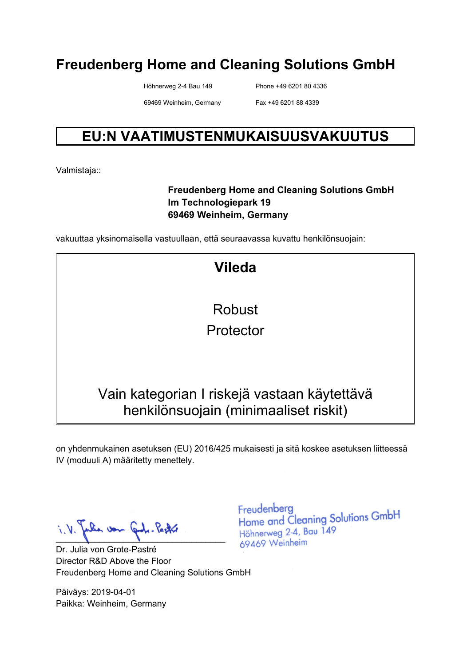Höhnerweg 2-4 Bau 149 Phone +49 6201 80 4336

69469 Weinheim, Germany Fax +49 6201 88 4339

### **EU:N VAATIMUSTENMUKAISUUSVAKUUTUS**

Valmistaja::

#### **Freudenberg Home and Cleaning Solutions GmbH Im Technologiepark 19 69469 Weinheim, Germany**

vakuuttaa yksinomaisella vastuullaan, että seuraavassa kuvattu henkilönsuojain:

| <b>Vileda</b>                                                                         |
|---------------------------------------------------------------------------------------|
|                                                                                       |
| Robust                                                                                |
| Protector                                                                             |
|                                                                                       |
|                                                                                       |
| Vain kategorian I riskejä vastaan käytettävä<br>henkilönsuojain (minimaaliset riskit) |

on yhdenmukainen asetuksen (EU) 2016/425 mukaisesti ja sitä koskee asetuksen liitteessä IV (moduuli A) määritetty menettely.

Julia von Juli-Pastri

Dr. Julia von Grote-Pastré Director R&D Above the Floor Freudenberg Home and Cleaning Solutions GmbH

Päiväys: 2019-04-01 Paikka: Weinheim, Germany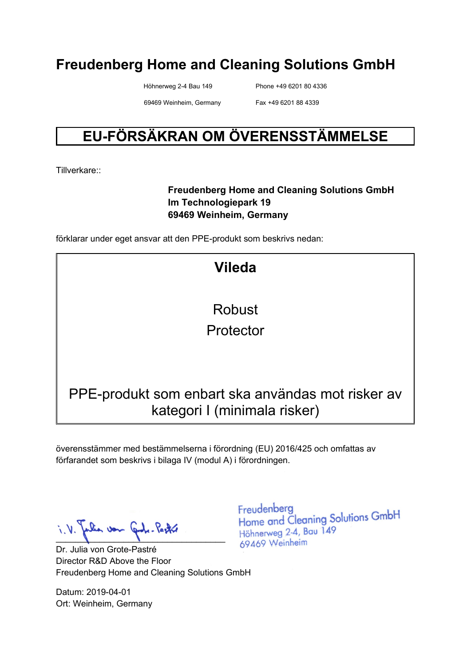Höhnerweg 2-4 Bau 149 Phone +49 6201 80 4336

69469 Weinheim, Germany Fax +49 6201 88 4339

### **EU-FÖRSÄKRAN OM ÖVERENSSTÄMMELSE**

Tillverkare::

#### **Freudenberg Home and Cleaning Solutions GmbH Im Technologiepark 19 69469 Weinheim, Germany**

förklarar under eget ansvar att den PPE-produkt som beskrivs nedan:

| <b>Vileda</b>                                                                     |
|-----------------------------------------------------------------------------------|
|                                                                                   |
| Robust                                                                            |
| Protector                                                                         |
|                                                                                   |
|                                                                                   |
| PPE-produkt som enbart ska användas mot risker av<br>kategori I (minimala risker) |

överensstämmer med bestämmelserna i förordning (EU) 2016/425 och omfattas av förfarandet som beskrivs i bilaga IV (modul A) i förordningen.

Julia von Gode-Pastre

Dr. Julia von Grote-Pastré Director R&D Above the Floor Freudenberg Home and Cleaning Solutions GmbH

Datum: 2019-04-01 Ort: Weinheim, Germany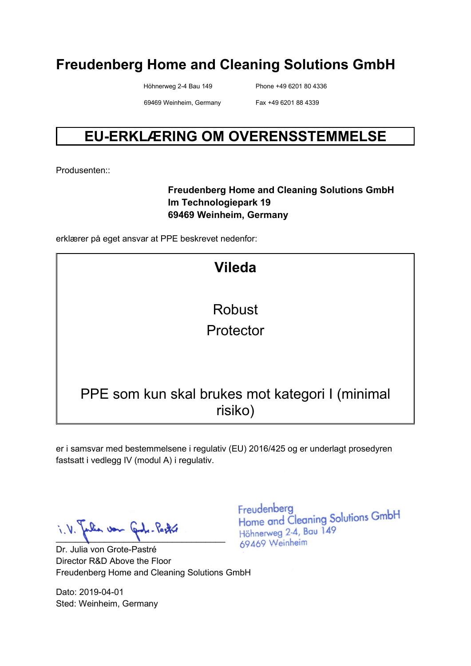Höhnerweg 2-4 Bau 149 Phone +49 6201 80 4336

69469 Weinheim, Germany Fax +49 6201 88 4339

### **EU-ERKLÆRING OM OVERENSSTEMMELSE**

Produsenten::

#### **Freudenberg Home and Cleaning Solutions GmbH Im Technologiepark 19 69469 Weinheim, Germany**

erklærer på eget ansvar at PPE beskrevet nedenfor:

| <b>Vileda</b>                                              |
|------------------------------------------------------------|
|                                                            |
| Robust                                                     |
| Protector                                                  |
|                                                            |
|                                                            |
|                                                            |
| PPE som kun skal brukes mot kategori I (minimal<br>risiko) |

er i samsvar med bestemmelsene i regulativ (EU) 2016/425 og er underlagt prosedyren fastsatt i vedlegg IV (modul A) i regulativ.

Julia von Gul. Pastró

Dr. Julia von Grote-Pastré Director R&D Above the Floor Freudenberg Home and Cleaning Solutions GmbH

Dato: 2019-04-01 Sted: Weinheim, Germany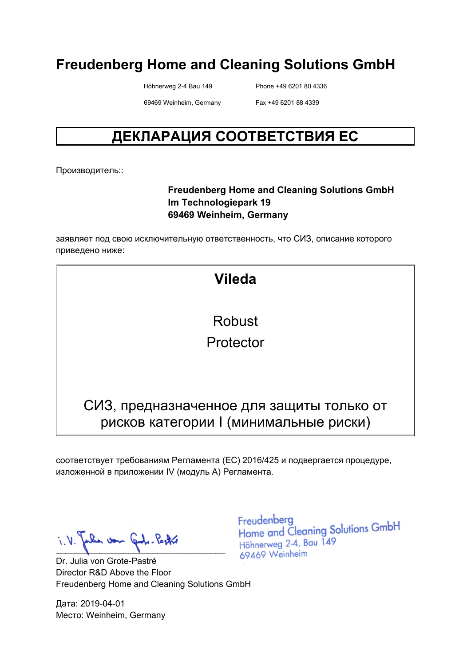Höhnerweg 2-4 Bau 149 Phone +49 6201 80 4336

69469 Weinheim, Germany Fax +49 6201 88 4339

### **ДЕКЛАРАЦИЯ СООТВЕТСТВИЯ ЕС**

Производитель::

#### **Freudenberg Home and Cleaning Solutions GmbH Im Technologiepark 19 69469 Weinheim, Germany**

заявляет под свою исключительную ответственность, что СИЗ, описание которого приведено ниже:

| <b>Vileda</b>                                                                       |
|-------------------------------------------------------------------------------------|
| Robust                                                                              |
| Protector                                                                           |
|                                                                                     |
| СИЗ, предназначенное для защиты только от<br>рисков категории I (минимальные риски) |

соответствует требованиям Регламента (ЕС) 2016/425 и подвергается процедуре, изложенной в приложении IV (модуль A) Регламента.

 $\blacksquare$ 

Dr. Julia von Grote-Pastré Director R&D Above the Floor Freudenberg Home and Cleaning Solutions GmbH

Дата: 2019-04-01 Место: Weinheim, Germany